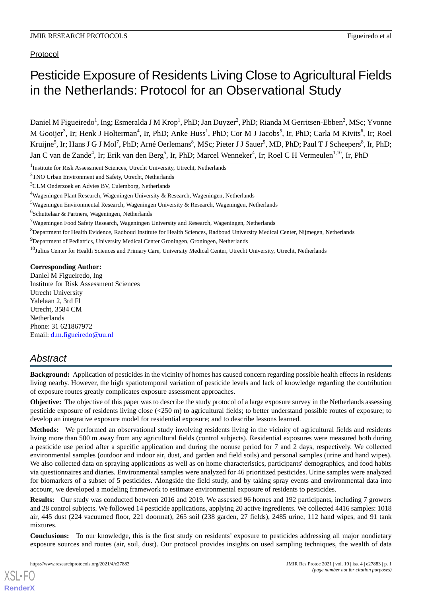# Pesticide Exposure of Residents Living Close to Agricultural Fields in the Netherlands: Protocol for an Observational Study

Daniel M Figueiredo<sup>1</sup>, Ing; Esmeralda J M Krop<sup>1</sup>, PhD; Jan Duyzer<sup>2</sup>, PhD; Rianda M Gerritsen-Ebben<sup>2</sup>, MSc; Yvonne M Gooijer<sup>3</sup>, Ir; Henk J Holterman<sup>4</sup>, Ir, PhD; Anke Huss<sup>1</sup>, PhD; Cor M J Jacobs<sup>5</sup>, Ir, PhD; Carla M Kivits<sup>6</sup>, Ir; Roel Kruijne<sup>5</sup>, Ir; Hans J G J Mol<sup>7</sup>, PhD; Arné Oerlemans<sup>8</sup>, MSc; Pieter J J Sauer<sup>9</sup>, MD, PhD; Paul T J Scheepers<sup>8</sup>, Ir, PhD; Jan C van de Zande<sup>4</sup>, Ir; Erik van den Berg<sup>5</sup>, Ir, PhD; Marcel Wenneker<sup>4</sup>, Ir; Roel C H Vermeulen<sup>1,10</sup>, Ir, PhD

<sup>1</sup>Institute for Risk Assessment Sciences, Utrecht University, Utrecht, Netherlands

 $10$ Julius Center for Health Sciences and Primary Care, University Medical Center, Utrecht University, Utrecht, Netherlands

#### **Corresponding Author:**

Daniel M Figueiredo, Ing Institute for Risk Assessment Sciences Utrecht University Yalelaan 2, 3rd Fl Utrecht, 3584 CM Netherlands Phone: 31 621867972 Email: <u>[d.m.figueiredo@uu.nl](mailto:d.m.figueiredo@uu.nl)</u>

# *Abstract*

**Background:** Application of pesticides in the vicinity of homes has caused concern regarding possible health effects in residents living nearby. However, the high spatiotemporal variation of pesticide levels and lack of knowledge regarding the contribution of exposure routes greatly complicates exposure assessment approaches.

**Objective:** The objective of this paper was to describe the study protocol of a large exposure survey in the Netherlands assessing pesticide exposure of residents living close (<250 m) to agricultural fields; to better understand possible routes of exposure; to develop an integrative exposure model for residential exposure; and to describe lessons learned.

**Methods:** We performed an observational study involving residents living in the vicinity of agricultural fields and residents living more than 500 m away from any agricultural fields (control subjects). Residential exposures were measured both during a pesticide use period after a specific application and during the nonuse period for 7 and 2 days, respectively. We collected environmental samples (outdoor and indoor air, dust, and garden and field soils) and personal samples (urine and hand wipes). We also collected data on spraying applications as well as on home characteristics, participants' demographics, and food habits via questionnaires and diaries. Environmental samples were analyzed for 46 prioritized pesticides. Urine samples were analyzed for biomarkers of a subset of 5 pesticides. Alongside the field study, and by taking spray events and environmental data into account, we developed a modeling framework to estimate environmental exposure of residents to pesticides.

**Results:** Our study was conducted between 2016 and 2019. We assessed 96 homes and 192 participants, including 7 growers and 28 control subjects. We followed 14 pesticide applications, applying 20 active ingredients. We collected 4416 samples: 1018 air, 445 dust (224 vacuumed floor, 221 doormat), 265 soil (238 garden, 27 fields), 2485 urine, 112 hand wipes, and 91 tank mixtures.

**Conclusions:** To our knowledge, this is the first study on residents' exposure to pesticides addressing all major nondietary exposure sources and routes (air, soil, dust). Our protocol provides insights on used sampling techniques, the wealth of data

<sup>2</sup>TNO Urban Environment and Safety, Utrecht, Netherlands

<sup>3</sup>CLM Onderzoek en Advies BV, Culemborg, Netherlands

<sup>4</sup>Wageningen Plant Research, Wageningen University & Research, Wageningen, Netherlands

<sup>5</sup>Wageningen Environmental Research, Wageningen University & Research, Wageningen, Netherlands

<sup>&</sup>lt;sup>6</sup>Schuttelaar & Partners, Wageningen, Netherlands

 $7$ Wageningen Food Safety Research, Wageningen University and Research, Wageningen, Netherlands

<sup>8</sup>Department for Health Evidence, Radboud Institute for Health Sciences, Radboud University Medical Center, Nijmegen, Netherlands

<sup>&</sup>lt;sup>9</sup>Department of Pediatrics, University Medical Center Groningen, Groningen, Netherlands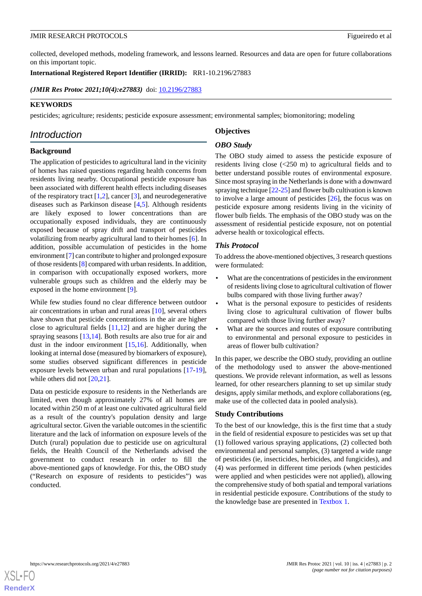collected, developed methods, modeling framework, and lessons learned. Resources and data are open for future collaborations on this important topic.

**International Registered Report Identifier (IRRID):** RR1-10.2196/27883

(JMIR Res Protoc 2021;10(4):e27883) doi: [10.2196/27883](http://dx.doi.org/10.2196/27883)

#### **KEYWORDS**

pesticides; agriculture; residents; pesticide exposure assessment; environmental samples; biomonitoring; modeling

# *Introduction*

**Background**

# **Objectives**

#### *OBO Study*

The application of pesticides to agricultural land in the vicinity of homes has raised questions regarding health concerns from residents living nearby. Occupational pesticide exposure has been associated with different health effects including diseases of the respiratory tract  $[1,2]$  $[1,2]$  $[1,2]$ , cancer  $[3]$  $[3]$ , and neurodegenerative diseases such as Parkinson disease [[4,](#page-14-3)[5](#page-14-4)]. Although residents are likely exposed to lower concentrations than are occupationally exposed individuals, they are continuously exposed because of spray drift and transport of pesticides volatilizing from nearby agricultural land to their homes [\[6](#page-14-5)]. In addition, possible accumulation of pesticides in the home environment [\[7](#page-14-6)] can contribute to higher and prolonged exposure of those residents [[8\]](#page-14-7) compared with urban residents. In addition, in comparison with occupationally exposed workers, more vulnerable groups such as children and the elderly may be exposed in the home environment [\[9](#page-14-8)].

While few studies found no clear difference between outdoor air concentrations in urban and rural areas [\[10](#page-14-9)], several others have shown that pesticide concentrations in the air are higher close to agricultural fields  $[11,12]$  $[11,12]$  $[11,12]$  and are higher during the spraying seasons [\[13](#page-15-2),[14\]](#page-15-3). Both results are also true for air and dust in the indoor environment  $[15,16]$  $[15,16]$  $[15,16]$ . Additionally, when looking at internal dose (measured by biomarkers of exposure), some studies observed significant differences in pesticide exposure levels between urban and rural populations [\[17](#page-15-6)-[19\]](#page-15-7), while others did not [\[20](#page-15-8),[21\]](#page-15-9).

Data on pesticide exposure to residents in the Netherlands are limited, even though approximately 27% of all homes are located within 250 m of at least one cultivated agricultural field as a result of the country's population density and large agricultural sector. Given the variable outcomes in the scientific literature and the lack of information on exposure levels of the Dutch (rural) population due to pesticide use on agricultural fields, the Health Council of the Netherlands advised the government to conduct research in order to fill the above-mentioned gaps of knowledge. For this, the OBO study ("Research on exposure of residents to pesticides") was conducted.

The OBO study aimed to assess the pesticide exposure of residents living close (<250 m) to agricultural fields and to better understand possible routes of environmental exposure. Since most spraying in the Netherlands is done with a downward spraying technique [\[22](#page-15-10)[-25](#page-15-11)] and flower bulb cultivation is known to involve a large amount of pesticides [\[26](#page-15-12)], the focus was on pesticide exposure among residents living in the vicinity of flower bulb fields. The emphasis of the OBO study was on the assessment of residential pesticide exposure, not on potential adverse health or toxicological effects.

#### *This Protocol*

To address the above-mentioned objectives, 3 research questions were formulated:

- What are the concentrations of pesticides in the environment of residents living close to agricultural cultivation of flower bulbs compared with those living further away?
- What is the personal exposure to pesticides of residents living close to agricultural cultivation of flower bulbs compared with those living further away?
- What are the sources and routes of exposure contributing to environmental and personal exposure to pesticides in areas of flower bulb cultivation?

In this paper, we describe the OBO study, providing an outline of the methodology used to answer the above-mentioned questions. We provide relevant information, as well as lessons learned, for other researchers planning to set up similar study designs, apply similar methods, and explore collaborations (eg, make use of the collected data in pooled analysis).

#### **Study Contributions**

To the best of our knowledge, this is the first time that a study in the field of residential exposure to pesticides was set up that (1) followed various spraying applications, (2) collected both environmental and personal samples, (3) targeted a wide range of pesticides (ie, insecticides, herbicides, and fungicides), and (4) was performed in different time periods (when pesticides were applied and when pesticides were not applied), allowing the comprehensive study of both spatial and temporal variations in residential pesticide exposure. Contributions of the study to the knowledge base are presented in [Textbox 1](#page-2-0).

**[RenderX](http://www.renderx.com/)**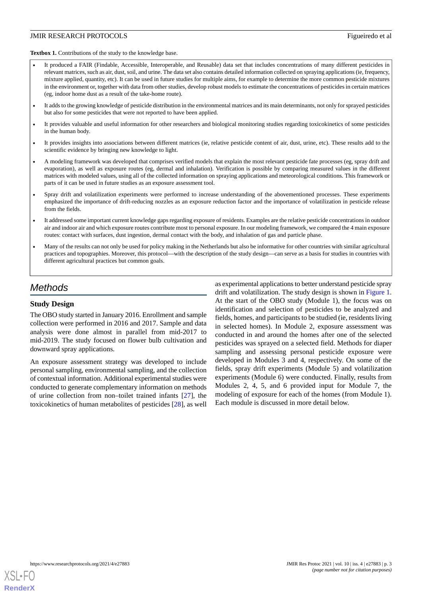<span id="page-2-0"></span>Textbox 1. Contributions of the study to the knowledge base.

- It produced a FAIR (Findable, Accessible, Interoperable, and Reusable) data set that includes concentrations of many different pesticides in relevant matrices, such as air, dust, soil, and urine. The data set also contains detailed information collected on spraying applications (ie, frequency, mixture applied, quantity, etc). It can be used in future studies for multiple aims, for example to determine the more common pesticide mixtures in the environment or, together with data from other studies, develop robust models to estimate the concentrations of pesticides in certain matrices (eg, indoor home dust as a result of the take-home route).
- It adds to the growing knowledge of pesticide distribution in the environmental matrices and its main determinants, not only for sprayed pesticides but also for some pesticides that were not reported to have been applied.
- It provides valuable and useful information for other researchers and biological monitoring studies regarding toxicokinetics of some pesticides in the human body.
- It provides insights into associations between different matrices (ie, relative pesticide content of air, dust, urine, etc). These results add to the scientific evidence by bringing new knowledge to light.
- A modeling framework was developed that comprises verified models that explain the most relevant pesticide fate processes (eg, spray drift and evaporation), as well as exposure routes (eg, dermal and inhalation). Verification is possible by comparing measured values in the different matrices with modeled values, using all of the collected information on spraying applications and meteorological conditions. This framework or parts of it can be used in future studies as an exposure assessment tool.
- Spray drift and volatilization experiments were performed to increase understanding of the abovementioned processes. These experiments emphasized the importance of drift-reducing nozzles as an exposure reduction factor and the importance of volatilization in pesticide release from the fields.
- It addressed some important current knowledge gaps regarding exposure of residents. Examples are the relative pesticide concentrations in outdoor air and indoor air and which exposure routes contribute most to personal exposure. In our modeling framework, we compared the 4 main exposure routes: contact with surfaces, dust ingestion, dermal contact with the body, and inhalation of gas and particle phase.
- Many of the results can not only be used for policy making in the Netherlands but also be informative for other countries with similar agricultural practices and topographies. Moreover, this protocol—with the description of the study design—can serve as a basis for studies in countries with different agricultural practices but common goals.

# *Methods*

#### **Study Design**

The OBO study started in January 2016. Enrollment and sample collection were performed in 2016 and 2017. Sample and data analysis were done almost in parallel from mid-2017 to mid-2019. The study focused on flower bulb cultivation and downward spray applications.

An exposure assessment strategy was developed to include personal sampling, environmental sampling, and the collection of contextual information. Additional experimental studies were conducted to generate complementary information on methods of urine collection from non–toilet trained infants [\[27](#page-15-13)], the toxicokinetics of human metabolites of pesticides [[28\]](#page-15-14), as well

as experimental applications to better understand pesticide spray drift and volatilization. The study design is shown in [Figure 1](#page-3-0). At the start of the OBO study (Module 1), the focus was on identification and selection of pesticides to be analyzed and fields, homes, and participants to be studied (ie, residents living in selected homes). In Module 2, exposure assessment was conducted in and around the homes after one of the selected pesticides was sprayed on a selected field. Methods for diaper sampling and assessing personal pesticide exposure were developed in Modules 3 and 4, respectively. On some of the fields, spray drift experiments (Module 5) and volatilization experiments (Module 6) were conducted. Finally, results from Modules 2, 4, 5, and 6 provided input for Module 7, the modeling of exposure for each of the homes (from Module 1). Each module is discussed in more detail below.

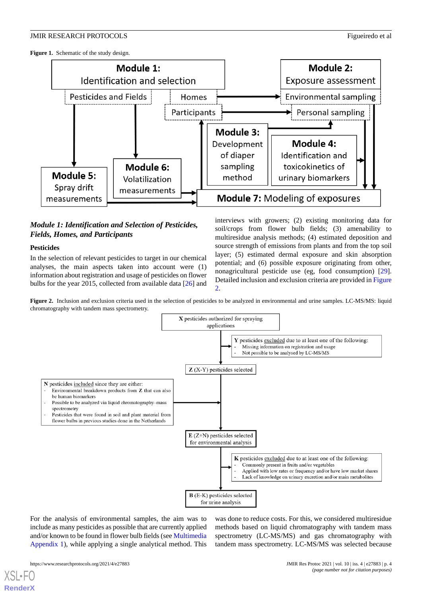<span id="page-3-0"></span>Figure 1. Schematic of the study design.



### *Module 1: Identification and Selection of Pesticides, Fields, Homes, and Participants*

#### **Pesticides**

<span id="page-3-1"></span>In the selection of relevant pesticides to target in our chemical analyses, the main aspects taken into account were (1) information about registration and usage of pesticides on flower bulbs for the year 2015, collected from available data [\[26](#page-15-12)] and interviews with growers; (2) existing monitoring data for soil/crops from flower bulb fields; (3) amenability to multiresidue analysis methods; (4) estimated deposition and source strength of emissions from plants and from the top soil layer; (5) estimated dermal exposure and skin absorption potential; and (6) possible exposure originating from other, nonagricultural pesticide use (eg, food consumption) [[29\]](#page-15-15). Detailed inclusion and exclusion criteria are provided in [Figure](#page-3-1) [2.](#page-3-1)

Figure 2. Inclusion and exclusion criteria used in the selection of pesticides to be analyzed in environmental and urine samples. LC-MS/MS: liquid chromatography with tandem mass spectrometry.

![](_page_3_Figure_9.jpeg)

For the analysis of environmental samples, the aim was to include as many pesticides as possible that are currently applied and/or known to be found in flower bulb fields (see [Multimedia](#page-14-10) [Appendix 1\)](#page-14-10), while applying a single analytical method. This

was done to reduce costs. For this, we considered multiresidue methods based on liquid chromatography with tandem mass spectrometry (LC-MS/MS) and gas chromatography with tandem mass spectrometry. LC-MS/MS was selected because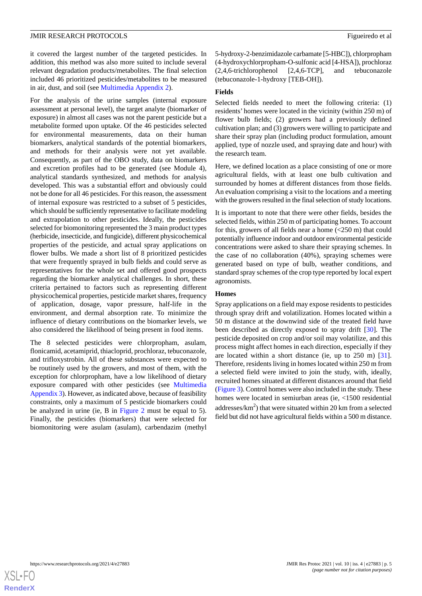it covered the largest number of the targeted pesticides. In addition, this method was also more suited to include several relevant degradation products/metabolites. The final selection included 46 prioritized pesticides/metabolites to be measured in air, dust, and soil (see [Multimedia Appendix 2](#page-14-11)).

For the analysis of the urine samples (internal exposure assessment at personal level), the target analyte (biomarker of exposure) in almost all cases was not the parent pesticide but a metabolite formed upon uptake. Of the 46 pesticides selected for environmental measurements, data on their human biomarkers, analytical standards of the potential biomarkers, and methods for their analysis were not yet available. Consequently, as part of the OBO study, data on biomarkers and excretion profiles had to be generated (see Module 4), analytical standards synthesized, and methods for analysis developed. This was a substantial effort and obviously could not be done for all 46 pesticides. For this reason, the assessment of internal exposure was restricted to a subset of 5 pesticides, which should be sufficiently representative to facilitate modeling and extrapolation to other pesticides. Ideally, the pesticides selected for biomonitoring represented the 3 main product types (herbicide, insecticide, and fungicide), different physicochemical properties of the pesticide, and actual spray applications on flower bulbs. We made a short list of 8 prioritized pesticides that were frequently sprayed in bulb fields and could serve as representatives for the whole set and offered good prospects regarding the biomarker analytical challenges. In short, these criteria pertained to factors such as representing different physicochemical properties, pesticide market shares, frequency of application, dosage, vapor pressure, half-life in the environment, and dermal absorption rate. To minimize the influence of dietary contributions on the biomarker levels, we also considered the likelihood of being present in food items.

The 8 selected pesticides were chlorpropham, asulam, flonicamid, acetamiprid, thiacloprid, prochloraz, tebuconazole, and trifloxystrobin. All of these substances were expected to be routinely used by the growers, and most of them, with the exception for chlorpropham, have a low likelihood of dietary exposure compared with other pesticides (see [Multimedia](#page-14-12) [Appendix 3\)](#page-14-12). However, as indicated above, because of feasibility constraints, only a maximum of 5 pesticide biomarkers could be analyzed in urine (ie, B in [Figure 2](#page-3-1) must be equal to 5). Finally, the pesticides (biomarkers) that were selected for biomonitoring were asulam (asulam), carbendazim (methyl

5-hydroxy-2-benzimidazole carbamate [5-HBC]), chlorpropham (4-hydroxychlorpropham-O-sulfonic acid [4-HSA]), prochloraz (2,4,6-trichlorophenol [2,4,6-TCP], and tebuconazole (tebuconazole-1-hydroxy [TEB-OH]).

#### **Fields**

Selected fields needed to meet the following criteria: (1) residents' homes were located in the vicinity (within 250 m) of flower bulb fields; (2) growers had a previously defined cultivation plan; and (3) growers were willing to participate and share their spray plan (including product formulation, amount applied, type of nozzle used, and spraying date and hour) with the research team.

Here, we defined location as a place consisting of one or more agricultural fields, with at least one bulb cultivation and surrounded by homes at different distances from those fields. An evaluation comprising a visit to the locations and a meeting with the growers resulted in the final selection of study locations.

It is important to note that there were other fields, besides the selected fields, within 250 m of participating homes. To account for this, growers of all fields near a home  $\left( \langle 250 \rangle \text{m} \right)$  that could potentially influence indoor and outdoor environmental pesticide concentrations were asked to share their spraying schemes. In the case of no collaboration (40%), spraying schemes were generated based on type of bulb, weather conditions, and standard spray schemes of the crop type reported by local expert agronomists.

#### **Homes**

Spray applications on a field may expose residents to pesticides through spray drift and volatilization. Homes located within a 50 m distance at the downwind side of the treated field have been described as directly exposed to spray drift [\[30](#page-15-16)]. The pesticide deposited on crop and/or soil may volatilize, and this process might affect homes in each direction, especially if they are located within a short distance (ie, up to 250 m) [[31\]](#page-15-17). Therefore, residents living in homes located within 250 m from a selected field were invited to join the study, with, ideally, recruited homes situated at different distances around that field ([Figure 3](#page-5-0)). Control homes were also included in the study. These homes were located in semiurban areas (ie, <1500 residential addresses/ $km<sup>2</sup>$ ) that were situated within 20 km from a selected field but did not have agricultural fields within a 500 m distance.

![](_page_4_Picture_12.jpeg)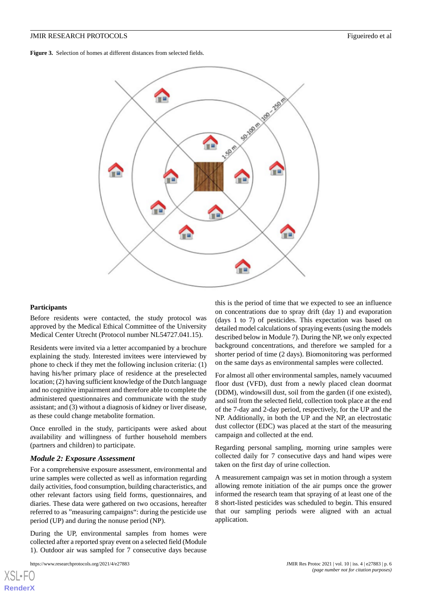<span id="page-5-0"></span>**Figure 3.** Selection of homes at different distances from selected fields.

![](_page_5_Figure_3.jpeg)

#### **Participants**

Before residents were contacted, the study protocol was approved by the Medical Ethical Committee of the University Medical Center Utrecht (Protocol number NL54727.041.15).

Residents were invited via a letter accompanied by a brochure explaining the study. Interested invitees were interviewed by phone to check if they met the following inclusion criteria: (1) having his/her primary place of residence at the preselected location; (2) having sufficient knowledge of the Dutch language and no cognitive impairment and therefore able to complete the administered questionnaires and communicate with the study assistant; and (3) without a diagnosis of kidney or liver disease, as these could change metabolite formation.

Once enrolled in the study, participants were asked about availability and willingness of further household members (partners and children) to participate.

#### *Module 2: Exposure Assessment*

For a comprehensive exposure assessment, environmental and urine samples were collected as well as information regarding daily activities, food consumption, building characteristics, and other relevant factors using field forms, questionnaires, and diaries. These data were gathered on two occasions, hereafter referred to as "measuring campaigns": during the pesticide use period (UP) and during the nonuse period (NP).

During the UP, environmental samples from homes were collected after a reported spray event on a selected field (Module 1). Outdoor air was sampled for 7 consecutive days because

this is the period of time that we expected to see an influence on concentrations due to spray drift (day 1) and evaporation (days 1 to 7) of pesticides. This expectation was based on detailed model calculations of spraying events (using the models described below in Module 7). During the NP, we only expected background concentrations, and therefore we sampled for a shorter period of time (2 days). Biomonitoring was performed on the same days as environmental samples were collected.

For almost all other environmental samples, namely vacuumed floor dust (VFD), dust from a newly placed clean doormat (DDM), windowsill dust, soil from the garden (if one existed), and soil from the selected field, collection took place at the end of the 7-day and 2-day period, respectively, for the UP and the NP. Additionally, in both the UP and the NP, an electrostatic dust collector (EDC) was placed at the start of the measuring campaign and collected at the end.

Regarding personal sampling, morning urine samples were collected daily for 7 consecutive days and hand wipes were taken on the first day of urine collection.

A measurement campaign was set in motion through a system allowing remote initiation of the air pumps once the grower informed the research team that spraying of at least one of the 8 short-listed pesticides was scheduled to begin. This ensured that our sampling periods were aligned with an actual application.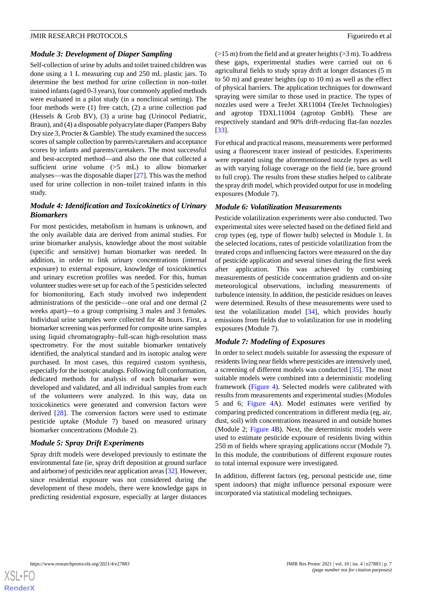#### *Module 3: Development of Diaper Sampling*

Self-collection of urine by adults and toilet trained children was done using a 1 L measuring cup and 250 mL plastic jars. To determine the best method for urine collection in non–toilet trained infants (aged 0-3 years), four commonly applied methods were evaluated in a pilot study (in a nonclinical setting). The four methods were (1) free catch, (2) a urine collection pad (Hessels & Grob BV), (3) a urine bag (Urinocol Pediatric, Braun), and (4) a disposable polyacrylate diaper (Pampers Baby Dry size 3, Procter & Gamble). The study examined the success scores of sample collection by parents/caretakers and acceptance scores by infants and parents/caretakers. The most successful and best-accepted method—and also the one that collected a sufficient urine volume (>5 mL) to allow biomarker analyses—was the disposable diaper [\[27](#page-15-13)]. This was the method used for urine collection in non–toilet trained infants in this study.

### *Module 4: Identification and Toxicokinetics of Urinary Biomarkers*

For most pesticides, metabolism in humans is unknown, and the only available data are derived from animal studies. For urine biomarker analysis, knowledge about the most suitable (specific and sensitive) human biomarker was needed. In addition, in order to link urinary concentrations (internal exposure) to external exposure, knowledge of toxicokinetics and urinary excretion profiles was needed. For this, human volunteer studies were set up for each of the 5 pesticides selected for biomonitoring. Each study involved two independent administrations of the pesticide—one oral and one dermal (2 weeks apart)—to a group comprising 3 males and 3 females. Individual urine samples were collected for 48 hours. First, a biomarker screening was performed for composite urine samples using liquid chromatography–full-scan high-resolution mass spectrometry. For the most suitable biomarker tentatively identified, the analytical standard and its isotopic analog were purchased. In most cases, this required custom synthesis, especially for the isotopic analogs. Following full conformation, dedicated methods for analysis of each biomarker were developed and validated, and all individual samples from each of the volunteers were analyzed. In this way, data on toxicokinetics were generated and conversion factors were derived [[28\]](#page-15-14). The conversion factors were used to estimate pesticide uptake (Module 7) based on measured urinary biomarker concentrations (Module 2).

#### *Module 5: Spray Drift Experiments*

Spray drift models were developed previously to estimate the environmental fate (ie, spray drift deposition at ground surface and airborne) of pesticides near application areas [[32\]](#page-16-0). However, since residential exposure was not considered during the development of these models, there were knowledge gaps in predicting residential exposure, especially at larger distances

 $(>15 \text{ m})$  from the field and at greater heights  $(>3 \text{ m})$ . To address these gaps, experimental studies were carried out on 6 agricultural fields to study spray drift at longer distances (5 m to 50 m) and greater heights (up to 10 m) as well as the effect of physical barriers. The application techniques for downward spraying were similar to those used in practice. The types of nozzles used were a TeeJet XR11004 (TeeJet Technologies) and agrotop TDXL11004 (agrotop GmbH). These are respectively standard and 90% drift-reducing flat-fan nozzles [[33\]](#page-16-1).

For ethical and practical reasons, measurements were performed using a fluorescent tracer instead of pesticides. Experiments were repeated using the aforementioned nozzle types as well as with varying foliage coverage on the field (ie, bare ground to full crop). The results from these studies helped to calibrate the spray drift model, which provided output for use in modeling exposures (Module 7).

#### *Module 6: Volatilization Measurements*

Pesticide volatilization experiments were also conducted. Two experimental sites were selected based on the defined field and crop types (eg, type of flower bulb) selected in Module 1. In the selected locations, rates of pesticide volatilization from the treated crops and influencing factors were measured on the day of pesticide application and several times during the first week after application. This was achieved by combining measurements of pesticide concentration gradients and on-site meteorological observations, including measurements of turbulence intensity. In addition, the pesticide residues on leaves were determined. Results of these measurements were used to test the volatilization model [\[34](#page-16-2)], which provides hourly emissions from fields due to volatilization for use in modeling exposures (Module 7).

#### *Module 7: Modeling of Exposures*

In order to select models suitable for assessing the exposure of residents living near fields where pesticides are intensively used, a screening of different models was conducted [\[35](#page-16-3)]. The most suitable models were combined into a deterministic modeling framework [\(Figure 4](#page-7-0)). Selected models were calibrated with results from measurements and experimental studies (Modules 5 and 6; [Figure 4](#page-7-0)A). Model estimates were verified by comparing predicted concentrations in different media (eg, air, dust, soil) with concentrations measured in and outside homes (Module 2; [Figure 4B](#page-7-0)). Next, the deterministic models were used to estimate pesticide exposure of residents living within 250 m of fields where spraying applications occur (Module 7). In this module, the contributions of different exposure routes to total internal exposure were investigated.

In addition, different factors (eg, personal pesticide use, time spent indoors) that might influence personal exposure were incorporated via statistical modeling techniques.

![](_page_6_Picture_15.jpeg)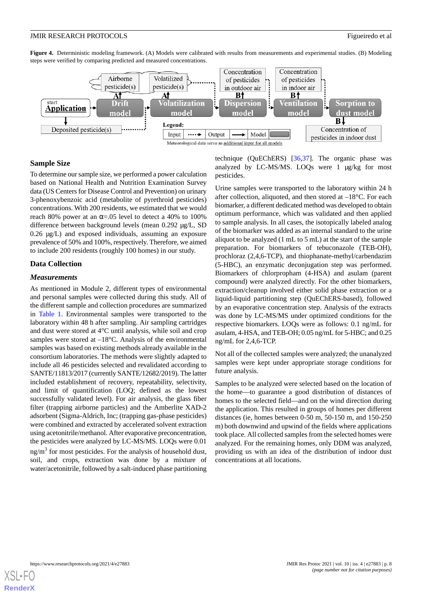<span id="page-7-0"></span>**Figure 4.** Deterministic modeling framework. (A) Models were calibrated with results from measurements and experimental studies. (B) Modeling steps were verified by comparing predicted and measured concentrations.

![](_page_7_Figure_3.jpeg)

#### **Sample Size**

To determine our sample size, we performed a power calculation based on National Health and Nutrition Examination Survey data (US Centers for Disease Control and Prevention) on urinary 3-phenoxybenzoic acid (metabolite of pyrethroid pesticides) concentrations. With 200 residents, we estimated that we would reach 80% power at an  $\alpha$ =.05 level to detect a 40% to 100% difference between background levels (mean 0.292 µg/L, SD 0.26 µg/L) and exposed individuals, assuming an exposure prevalence of 50% and 100%, respectively. Therefore, we aimed to include 200 residents (roughly 100 homes) in our study.

#### **Data Collection**

#### *Measurements*

As mentioned in Module 2, different types of environmental and personal samples were collected during this study. All of the different sample and collection procedures are summarized in [Table 1](#page-8-0). Environmental samples were transported to the laboratory within 48 h after sampling. Air sampling cartridges and dust were stored at 4°C until analysis, while soil and crop samples were stored at  $-18^{\circ}$ C. Analysis of the environmental samples was based on existing methods already available in the consortium laboratories. The methods were slightly adapted to include all 46 pesticides selected and revalidated according to SANTE/11813/2017 (currently SANTE/12682/2019). The latter included establishment of recovery, repeatability, selectivity, and limit of quantification (LOQ; defined as the lowest successfully validated level). For air analysis, the glass fiber filter (trapping airborne particles) and the Amberlite XAD-2 adsorbent (Sigma-Aldrich, Inc; (trapping gas-phase pesticides) were combined and extracted by accelerated solvent extraction using acetonitrile/methanol. After evaporative preconcentration, the pesticides were analyzed by LC-MS/MS. LOQs were 0.01  $ng/m<sup>3</sup>$  for most pesticides. For the analysis of household dust, soil, and crops, extraction was done by a mixture of water/acetonitrile, followed by a salt-induced phase partitioning

technique (QuEChERS) [\[36](#page-16-4),[37\]](#page-16-5). The organic phase was analyzed by LC-MS/MS. LOQs were 1 µg/kg for most pesticides.

Urine samples were transported to the laboratory within 24 h after collection, aliquoted, and then stored at –18°C. For each biomarker, a different dedicated method was developed to obtain optimum performance, which was validated and then applied to sample analysis. In all cases, the isotopically labeled analog of the biomarker was added as an internal standard to the urine aliquot to be analyzed (1 mL to 5 mL) at the start of the sample preparation. For biomarkers of tebuconazole (TEB-OH), prochloraz (2,4,6-TCP), and thiophanate-methyl/carbendazim (5-HBC), an enzymatic deconjugation step was performed. Biomarkers of chlorpropham (4-HSA) and asulam (parent compound) were analyzed directly. For the other biomarkers, extraction/cleanup involved either solid phase extraction or a liquid-liquid partitioning step (QuEChERS-based), followed by an evaporative concentration step. Analysis of the extracts was done by LC-MS/MS under optimized conditions for the respective biomarkers. LOQs were as follows: 0.1 ng/mL for asulam, 4-HSA, and TEB-OH; 0.05 ng/mL for 5-HBC; and 0.25 ng/mL for 2,4,6-TCP.

Not all of the collected samples were analyzed; the unanalyzed samples were kept under appropriate storage conditions for future analysis.

Samples to be analyzed were selected based on the location of the home—to guarantee a good distribution of distances of homes to the selected field—and on the wind direction during the application. This resulted in groups of homes per different distances (ie, homes between 0-50 m, 50-150 m, and 150-250 m) both downwind and upwind of the fields where applications took place. All collected samples from the selected homes were analyzed. For the remaining homes, only DDM was analyzed, providing us with an idea of the distribution of indoor dust concentrations at all locations.

![](_page_7_Picture_13.jpeg)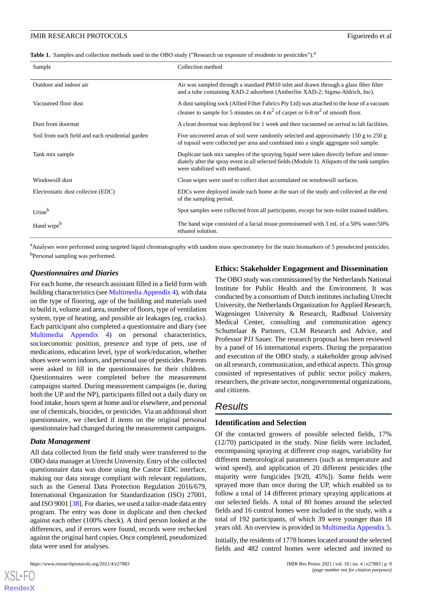<span id="page-8-0"></span>**Table 1.** Samples and collection methods used in the OBO study ("Research on exposure of residents to pesticides").<sup>a</sup>

| Sample                                           | Collection method                                                                                                                                                                                                         |
|--------------------------------------------------|---------------------------------------------------------------------------------------------------------------------------------------------------------------------------------------------------------------------------|
| Outdoor and indoor air                           | Air was sampled through a standard PM10 inlet and drawn through a glass fiber filter<br>and a tube containing XAD-2 adsorbent (Amberlite XAD-2; Sigma-Aldrich, Inc).                                                      |
| Vacuumed floor dust                              | A dust sampling sock (Allied Filter Fabrics Pty Ltd) was attached to the hose of a vacuum<br>cleaner to sample for 5 minutes on 4 $m2$ of carpet or 6-8 $m2$ of smooth floor.                                             |
| Dust from doormat                                | A clean doormat was deployed for 1 week and then vacuumed on arrival to lab facilities.                                                                                                                                   |
| Soil from each field and each residential garden | Five uncovered areas of soil were randomly selected and approximately 150 g to 250 g<br>of topsoil were collected per area and combined into a single aggregate soil sample.                                              |
| Tank mix sample                                  | Duplicate tank mix samples of the spraying liquid were taken directly before and imme-<br>diately after the spray event in all selected fields (Module 1). Aliquots of the tank samples<br>were stabilized with methanol. |
| Windowsill dust                                  | Clean wipes were used to collect dust accumulated on windows ill surfaces.                                                                                                                                                |
| Electrostatic dust collector (EDC)               | EDCs were deployed inside each home at the start of the study and collected at the end<br>of the sampling period.                                                                                                         |
| Urine <sup>b</sup>                               | Spot samples were collected from all participants, except for non-toilet trained toddlers.                                                                                                                                |
| Hand wipe <sup>b</sup>                           | The hand wipe consisted of a facial tissue premoistened with 3 mL of a 50% water/50%<br>ethanol solution.                                                                                                                 |

<sup>a</sup>Analyses were performed using targeted liquid chromatography with tandem mass spectrometry for the main biomarkers of 5 preselected pesticides. <sup>b</sup>Personal sampling was performed.

#### *Questionnaires and Diaries*

For each home, the research assistant filled in a field form with building characteristics (see [Multimedia Appendix 4\)](#page-14-13), with data on the type of flooring, age of the building and materials used to build it, volume and area, number of floors, type of ventilation system, type of heating, and possible air leakages (eg, cracks). Each participant also completed a questionnaire and diary (see [Multimedia Appendix 4](#page-14-13)) on personal characteristics, socioeconomic position, presence and type of pets, use of medications, education level, type of work/education, whether shoes were worn indoors, and personal use of pesticides. Parents were asked to fill in the questionnaires for their children. Questionnaires were completed before the measurement campaigns started. During measurement campaigns (ie, during both the UP and the NP), participants filled out a daily diary on food intake, hours spent at home and/or elsewhere, and personal use of chemicals, biocides, or pesticides. Via an additional short questionnaire, we checked if items on the original personal questionnaire had changed during the measurement campaigns.

#### *Data Management*

All data collected from the field study were transferred to the OBO data manager at Utrecht University. Entry of the collected questionnaire data was done using the Castor EDC interface, making our data storage compliant with relevant regulations, such as the General Data Protection Regulation 2016/679, International Organization for Standardization (ISO) 27001, and ISO 9001 [[38\]](#page-16-6). For diaries, we used a tailor-made data entry program. The entry was done in duplicate and then checked against each other (100% check). A third person looked at the differences, and if errors were found, records were rechecked against the original hard copies. Once completed, pseudomized data were used for analyses.

https://www.researchprotocols.org/2021/4/e27883 p. 9 JMIR Res Protoc 2021 | vol. 10 | iss. 4 | e27883 | p. 9

[XSL](http://www.w3.org/Style/XSL)•FO **[RenderX](http://www.renderx.com/)**

#### **Ethics: Stakeholder Engagement and Dissemination**

The OBO study was commissioned by the Netherlands National Institute for Public Health and the Environment. It was conducted by a consortium of Dutch institutes including Utrecht University, the Netherlands Organization for Applied Research, Wageningen University & Research, Radboud University Medical Center, consulting and communication agency Schuttelaar & Partners, CLM Research and Advice, and Professor PJJ Sauer. The research proposal has been reviewed by a panel of 16 international experts. During the preparation and execution of the OBO study, a stakeholder group advised on all research, communication, and ethical aspects. This group consisted of representatives of public sector policy makers, researchers, the private sector, nongovernmental organizations, and citizens.

# *Results*

#### **Identification and Selection**

Of the contacted growers of possible selected fields, 17% (12/70) participated in the study. Nine fields were included, encompassing spraying at different crop stages, variability for different meteorological parameters (such as temperature and wind speed), and application of 20 different pesticides (the majority were fungicides [9/20, 45%]). Some fields were sprayed more than once during the UP, which enabled us to follow a total of 14 different primary spraying applications at our selected fields. A total of 80 homes around the selected fields and 16 control homes were included in the study, with a total of 192 participants, of which 39 were younger than 18 years old. An overview is provided in [Multimedia Appendix 5](#page-14-14).

Initially, the residents of 1778 homes located around the selected fields and 482 control homes were selected and invited to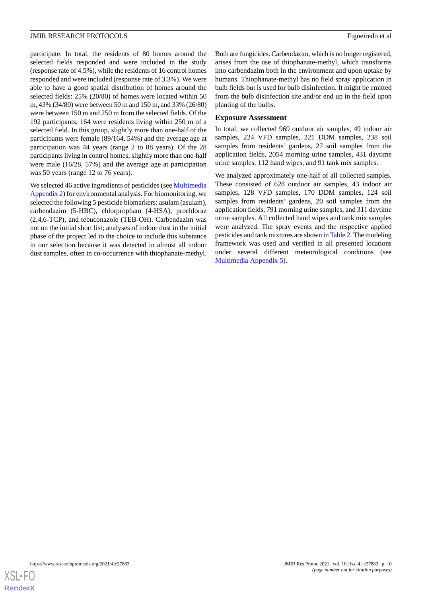participate. In total, the residents of 80 homes around the selected fields responded and were included in the study (response rate of 4.5%), while the residents of 16 control homes responded and were included (response rate of 3.3%). We were able to have a good spatial distribution of homes around the selected fields: 25% (20/80) of homes were located within 50 m, 43% (34/80) were between 50 m and 150 m, and 33% (26/80) were between 150 m and 250 m from the selected fields. Of the 192 participants, 164 were residents living within 250 m of a selected field. In this group, slightly more than one-half of the participants were female (89/164, 54%) and the average age at participation was 44 years (range 2 to 88 years). Of the 28 participants living in control homes, slightly more than one-half were male (16/28, 57%) and the average age at participation was 50 years (range 12 to 76 years).

We selected 46 active ingredients of pesticides (see [Multimedia](#page-14-11) [Appendix 2\)](#page-14-11) for environmental analysis. For biomonitoring, we selected the following 5 pesticide biomarkers: asulam (asulam), carbendazim (5-HBC), chlorpropham (4-HSA), prochloraz (2,4,6-TCP), and tebuconazole (TEB-OH). Carbendazim was not on the initial short list; analyses of indoor dust in the initial phase of the project led to the choice to include this substance in our selection because it was detected in almost all indoor dust samples, often in co-occurrence with thiophanate-methyl.

Both are fungicides. Carbendazim, which is no longer registered, arises from the use of thiophanate-methyl, which transforms into carbendazim both in the environment and upon uptake by humans. Thiophanate-methyl has no field spray application in bulb fields but is used for bulb disinfection. It might be emitted from the bulb disinfection site and/or end up in the field upon planting of the bulbs.

#### **Exposure Assessment**

In total, we collected 969 outdoor air samples, 49 indoor air samples, 224 VFD samples, 221 DDM samples, 238 soil samples from residents' gardens, 27 soil samples from the application fields, 2054 morning urine samples, 431 daytime urine samples, 112 hand wipes, and 91 tank mix samples.

We analyzed approximately one-half of all collected samples. These consisted of 628 outdoor air samples, 43 indoor air samples, 128 VFD samples, 170 DDM samples, 124 soil samples from residents' gardens, 20 soil samples from the application fields, 791 morning urine samples, and 311 daytime urine samples. All collected hand wipes and tank mix samples were analyzed. The spray events and the respective applied pesticides and tank mixtures are shown in [Table 2](#page-10-0). The modeling framework was used and verified in all presented locations under several different meteorological conditions (see [Multimedia Appendix 5\)](#page-14-14).

![](_page_9_Picture_8.jpeg)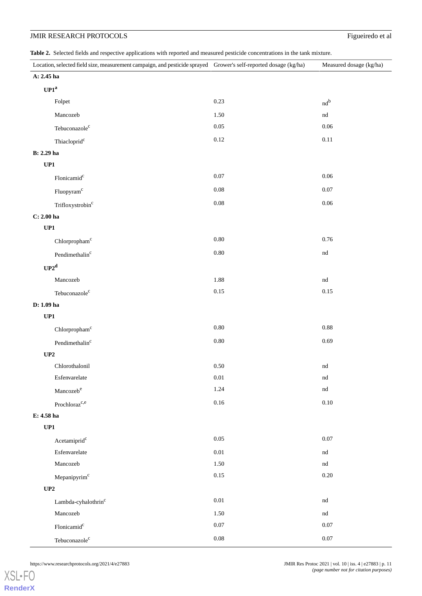<span id="page-10-0"></span>**Table 2.** Selected fields and respective applications with reported and measured pesticide concentrations in the tank mixture.

| Location, selected field size, measurement campaign, and pesticide sprayed Grower's self-reported dosage (kg/ha) |          | Measured dosage (kg/ha) |
|------------------------------------------------------------------------------------------------------------------|----------|-------------------------|
| A: $2.45$ ha                                                                                                     |          |                         |
| $\mathbf{UP1}^a$                                                                                                 |          |                         |
| Folpet                                                                                                           | 0.23     | $nd^b$                  |
| Mancozeb                                                                                                         | 1.50     | $^{\rm nd}$             |
| Tebuconazole <sup>c</sup>                                                                                        | $0.05\,$ | 0.06                    |
| Thiacloprid <sup>c</sup>                                                                                         | $0.12\,$ | $0.11\,$                |
| <b>B</b> : 2.29 ha                                                                                               |          |                         |
| UP1                                                                                                              |          |                         |
| Flonicamid <sup>c</sup>                                                                                          | 0.07     | 0.06                    |
| Fluopyram <sup>c</sup>                                                                                           | $0.08\,$ | $0.07\,$                |
| Trifloxystrobin <sup>c</sup>                                                                                     | $0.08\,$ | 0.06                    |
| $C: 2.00$ ha                                                                                                     |          |                         |
| UP1                                                                                                              |          |                         |
| Chlorpropham <sup>c</sup>                                                                                        | $0.80\,$ | $0.76\,$                |
| Pendimethalin $\rm ^c$                                                                                           | $0.80\,$ | $^{\rm nd}$             |
| $UP2^d$                                                                                                          |          |                         |
| Mancozeb                                                                                                         | 1.88     | $^{\rm nd}$             |
| Tebuconazole <sup>c</sup>                                                                                        | $0.15\,$ | 0.15                    |
| D: 1.09 ha                                                                                                       |          |                         |
| UP1                                                                                                              |          |                         |
| Chlorpropham <sup>c</sup>                                                                                        | $0.80\,$ | 0.88                    |
| Pendimethalin $\rm ^c$                                                                                           | $0.80\,$ | 0.69                    |
| UP2                                                                                                              |          |                         |
| Chlorothalonil                                                                                                   | $0.50\,$ | $^{\rm nd}$             |
| Esfenvarelate                                                                                                    | 0.01     | nd                      |
| Mancozeb <sup>e</sup>                                                                                            | 1.24     | $^{\rm nd}$             |
| Prochloraz <sup>c,e</sup>                                                                                        | $0.16\,$ | $0.10\,$                |
| E: 4.58 ha                                                                                                       |          |                         |
| UP1                                                                                                              |          |                         |
| Acetamiprid <sup>c</sup>                                                                                         | 0.05     | 0.07                    |
| Esfenvarelate                                                                                                    | 0.01     | nd                      |
| Mancozeb                                                                                                         | 1.50     | $^{\rm nd}$             |
| Mepanipyrim <sup>c</sup>                                                                                         | $0.15\,$ | $0.20\,$                |
| $\mathbf{UP2}$                                                                                                   |          |                         |
| $\mbox{Lambda-cyhalothrin}^c$                                                                                    | $0.01\,$ | nd                      |
| Mancozeb                                                                                                         | 1.50     | $^{\rm nd}$             |
| Flonicamid <sup>c</sup>                                                                                          | $0.07\,$ | $0.07\,$                |
| Tebuconazole <sup>c</sup>                                                                                        | $0.08\,$ | $0.07\,$                |

[XSL](http://www.w3.org/Style/XSL)•FO **[RenderX](http://www.renderx.com/)**

https://www.researchprotocols.org/2021/4/e27883 DMIR Res Protoc 2021 | vol. 10 | iss. 4 | e27883 | p. 11 *(page number not for citation purposes)*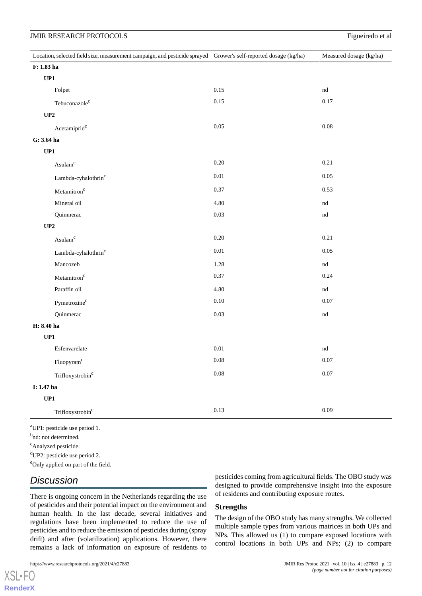|                | Location, selected field size, measurement campaign, and pesticide sprayed Grower's self-reported dosage (kg/ha) |          | Measured dosage (kg/ha)    |
|----------------|------------------------------------------------------------------------------------------------------------------|----------|----------------------------|
| F: 1.83 ha     |                                                                                                                  |          |                            |
| UP1            |                                                                                                                  |          |                            |
|                | Folpet                                                                                                           | 0.15     | nd                         |
|                | Tebuconazole <sup>c</sup>                                                                                        | 0.15     | 0.17                       |
| UP2            |                                                                                                                  |          |                            |
|                | Acetamiprid <sup>c</sup>                                                                                         | $0.05\,$ | 0.08                       |
| G: 3.64 ha     |                                                                                                                  |          |                            |
| UP1            |                                                                                                                  |          |                            |
|                | Asulam <sup>c</sup>                                                                                              | $0.20\,$ | 0.21                       |
|                | Lambda-cyhalothrin <sup>c</sup>                                                                                  | $0.01\,$ | 0.05                       |
|                | Metamitron <sup>c</sup>                                                                                          | 0.37     | 0.53                       |
|                | Mineral oil                                                                                                      | 4.80     | nd                         |
|                | Quinmerac                                                                                                        | 0.03     | nd                         |
| $\mathbf{UP2}$ |                                                                                                                  |          |                            |
|                | Asulam <sup>c</sup>                                                                                              | $0.20\,$ | 0.21                       |
|                | Lambda-cyhalothrin <sup>c</sup>                                                                                  | $0.01\,$ | 0.05                       |
|                | Mancozeb                                                                                                         | 1.28     | nd                         |
|                | Metamitron <sup>c</sup>                                                                                          | 0.37     | 0.24                       |
|                | Paraffin oil                                                                                                     | 4.80     | $\mathop{\rm nd}\nolimits$ |
|                | Pymetrozine <sup>c</sup>                                                                                         | $0.10\,$ | 0.07                       |
|                | Quinmerac                                                                                                        | 0.03     | $^{\rm nd}$                |
| $H: 8.40$ ha   |                                                                                                                  |          |                            |
| UP1            |                                                                                                                  |          |                            |
|                | Esfenvarelate                                                                                                    | $0.01\,$ | $^{\rm nd}$                |
|                | Fluopyram <sup>c</sup>                                                                                           | $0.08\,$ | 0.07                       |
|                | Trifloxystrobin <sup>c</sup>                                                                                     | $0.08\,$ | 0.07                       |
| I: 1.47 ha     |                                                                                                                  |          |                            |
| UP1            |                                                                                                                  |          |                            |
|                | Trifloxystrobin <sup>c</sup>                                                                                     | $0.13\,$ | 0.09                       |

<sup>a</sup>UP1: pesticide use period 1.

<sup>b</sup>nd: not determined.

<sup>c</sup>Analyzed pesticide.

<sup>d</sup>UP2: pesticide use period 2.

<sup>e</sup>Only applied on part of the field.

## *Discussion*

There is ongoing concern in the Netherlands regarding the use of pesticides and their potential impact on the environment and human health. In the last decade, several initiatives and regulations have been implemented to reduce the use of pesticides and to reduce the emission of pesticides during (spray drift) and after (volatilization) applications. However, there remains a lack of information on exposure of residents to

pesticides coming from agricultural fields. The OBO study was designed to provide comprehensive insight into the exposure of residents and contributing exposure routes.

#### **Strengths**

The design of the OBO study has many strengths. We collected multiple sample types from various matrices in both UPs and NPs. This allowed us (1) to compare exposed locations with control locations in both UPs and NPs; (2) to compare

 $XS$  • FC **[RenderX](http://www.renderx.com/)**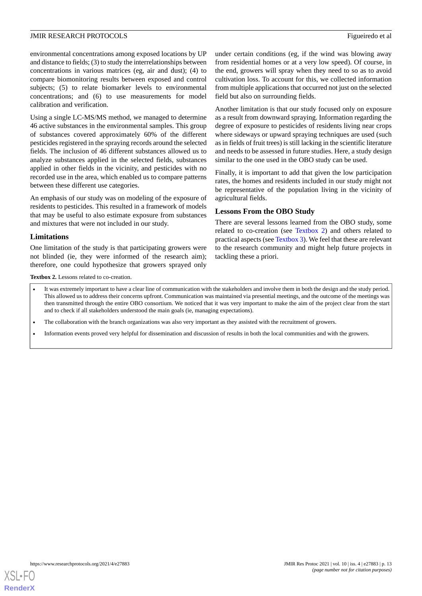environmental concentrations among exposed locations by UP and distance to fields; (3) to study the interrelationships between concentrations in various matrices (eg, air and dust); (4) to compare biomonitoring results between exposed and control subjects; (5) to relate biomarker levels to environmental concentrations; and (6) to use measurements for model calibration and verification.

Using a single LC-MS/MS method, we managed to determine 46 active substances in the environmental samples. This group of substances covered approximately 60% of the different pesticides registered in the spraying records around the selected fields. The inclusion of 46 different substances allowed us to analyze substances applied in the selected fields, substances applied in other fields in the vicinity, and pesticides with no recorded use in the area, which enabled us to compare patterns between these different use categories.

An emphasis of our study was on modeling of the exposure of residents to pesticides. This resulted in a framework of models that may be useful to also estimate exposure from substances and mixtures that were not included in our study.

#### **Limitations**

<span id="page-12-0"></span>One limitation of the study is that participating growers were not blinded (ie, they were informed of the research aim); therefore, one could hypothesize that growers sprayed only

under certain conditions (eg, if the wind was blowing away from residential homes or at a very low speed). Of course, in the end, growers will spray when they need to so as to avoid cultivation loss. To account for this, we collected information from multiple applications that occurred not just on the selected field but also on surrounding fields.

Another limitation is that our study focused only on exposure as a result from downward spraying. Information regarding the degree of exposure to pesticides of residents living near crops where sideways or upward spraying techniques are used (such as in fields of fruit trees) is still lacking in the scientific literature and needs to be assessed in future studies. Here, a study design similar to the one used in the OBO study can be used.

Finally, it is important to add that given the low participation rates, the homes and residents included in our study might not be representative of the population living in the vicinity of agricultural fields.

#### **Lessons From the OBO Study**

There are several lessons learned from the OBO study, some related to co-creation (see [Textbox 2](#page-12-0)) and others related to practical aspects (see [Textbox 3](#page-13-0)). We feel that these are relevant to the research community and might help future projects in tackling these a priori.

Textbox 2. Lessons related to co-creation.

- It was extremely important to have a clear line of communication with the stakeholders and involve them in both the design and the study period. This allowed us to address their concerns upfront. Communication was maintained via presential meetings, and the outcome of the meetings was then transmitted through the entire OBO consortium. We noticed that it was very important to make the aim of the project clear from the start and to check if all stakeholders understood the main goals (ie, managing expectations).
- The collaboration with the branch organizations was also very important as they assisted with the recruitment of growers.
- Information events proved very helpful for dissemination and discussion of results in both the local communities and with the growers.

![](_page_12_Picture_16.jpeg)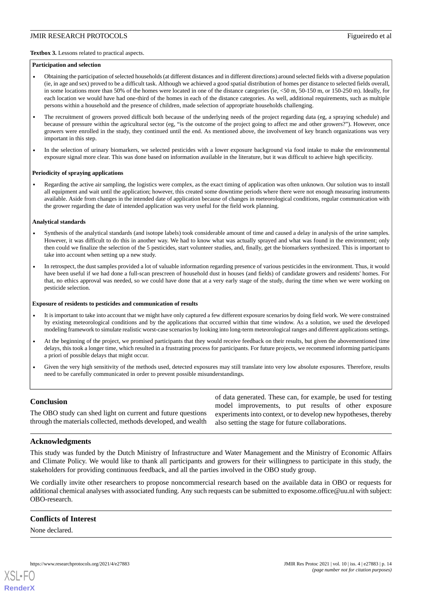#### <span id="page-13-0"></span>**Textbox 3.** Lessons related to practical aspects.

#### **Participation and selection**

- Obtaining the participation of selected households (at different distances and in different directions) around selected fields with a diverse population (ie, in age and sex) proved to be a difficult task. Although we achieved a good spatial distribution of homes per distance to selected fields overall, in some locations more than 50% of the homes were located in one of the distance categories (ie, <50 m, 50-150 m, or 150-250 m). Ideally, for each location we would have had one-third of the homes in each of the distance categories. As well, additional requirements, such as multiple persons within a household and the presence of children, made selection of appropriate households challenging.
- The recruitment of growers proved difficult both because of the underlying needs of the project regarding data (eg, a spraying schedule) and because of pressure within the agricultural sector (eg, "is the outcome of the project going to affect me and other growers?"). However, once growers were enrolled in the study, they continued until the end. As mentioned above, the involvement of key branch organizations was very important in this step.
- In the selection of urinary biomarkers, we selected pesticides with a lower exposure background via food intake to make the environmental exposure signal more clear. This was done based on information available in the literature, but it was difficult to achieve high specificity.

#### **Periodicity of spraying applications**

• Regarding the active air sampling, the logistics were complex, as the exact timing of application was often unknown. Our solution was to install all equipment and wait until the application; however, this created some downtime periods where there were not enough measuring instruments available. Aside from changes in the intended date of application because of changes in meteorological conditions, regular communication with the grower regarding the date of intended application was very useful for the field work planning.

#### **Analytical standards**

- Synthesis of the analytical standards (and isotope labels) took considerable amount of time and caused a delay in analysis of the urine samples. However, it was difficult to do this in another way. We had to know what was actually sprayed and what was found in the environment; only then could we finalize the selection of the 5 pesticides, start volunteer studies, and, finally, get the biomarkers synthesized. This is important to take into account when setting up a new study.
- In retrospect, the dust samples provided a lot of valuable information regarding presence of various pesticides in the environment. Thus, it would have been useful if we had done a full-scan prescreen of household dust in houses (and fields) of candidate growers and residents' homes. For that, no ethics approval was needed, so we could have done that at a very early stage of the study, during the time when we were working on pesticide selection.

#### **Exposure of residents to pesticides and communication of results**

- It is important to take into account that we might have only captured a few different exposure scenarios by doing field work. We were constrained by existing meteorological conditions and by the applications that occurred within that time window. As a solution, we used the developed modeling framework to simulate realistic worst-case scenarios by looking into long-term meteorological ranges and different applications settings.
- At the beginning of the project, we promised participants that they would receive feedback on their results, but given the abovementioned time delays, this took a longer time, which resulted in a frustrating process for participants. For future projects, we recommend informing participants a priori of possible delays that might occur.
- Given the very high sensitivity of the methods used, detected exposures may still translate into very low absolute exposures. Therefore, results need to be carefully communicated in order to prevent possible misunderstandings.

#### **Conclusion**

The OBO study can shed light on current and future questions through the materials collected, methods developed, and wealth of data generated. These can, for example, be used for testing model improvements, to put results of other exposure experiments into context, or to develop new hypotheses, thereby also setting the stage for future collaborations.

#### **Acknowledgments**

This study was funded by the Dutch Ministry of Infrastructure and Water Management and the Ministry of Economic Affairs and Climate Policy. We would like to thank all participants and growers for their willingness to participate in this study, the stakeholders for providing continuous feedback, and all the parties involved in the OBO study group.

We cordially invite other researchers to propose noncommercial research based on the available data in OBO or requests for additional chemical analyses with associated funding. Any such requests can be submitted to exposome.office@uu.nl with subject: OBO-research.

#### **Conflicts of Interest**

None declared.

![](_page_13_Picture_24.jpeg)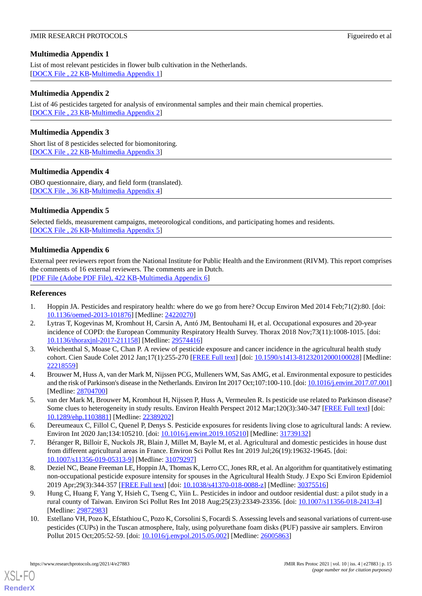### <span id="page-14-10"></span>**Multimedia Appendix 1**

List of most relevant pesticides in flower bulb cultivation in the Netherlands. [[DOCX File , 22 KB](https://jmir.org/api/download?alt_name=resprot_v10i4e27883_app1.docx&filename=0e0aa27681d00dac9e0410da366ebbe5.docx)-[Multimedia Appendix 1\]](https://jmir.org/api/download?alt_name=resprot_v10i4e27883_app1.docx&filename=0e0aa27681d00dac9e0410da366ebbe5.docx)

#### <span id="page-14-11"></span>**Multimedia Appendix 2**

List of 46 pesticides targeted for analysis of environmental samples and their main chemical properties. [[DOCX File , 23 KB](https://jmir.org/api/download?alt_name=resprot_v10i4e27883_app2.docx&filename=ae18f98a20d4d2f2d24c92a6459bf54b.docx)-[Multimedia Appendix 2\]](https://jmir.org/api/download?alt_name=resprot_v10i4e27883_app2.docx&filename=ae18f98a20d4d2f2d24c92a6459bf54b.docx)

#### <span id="page-14-12"></span>**Multimedia Appendix 3**

<span id="page-14-13"></span>Short list of 8 pesticides selected for biomonitoring. [[DOCX File , 22 KB](https://jmir.org/api/download?alt_name=resprot_v10i4e27883_app3.docx&filename=9fc267a7dbdd1e976c888f48a8bd8a82.docx)-[Multimedia Appendix 3\]](https://jmir.org/api/download?alt_name=resprot_v10i4e27883_app3.docx&filename=9fc267a7dbdd1e976c888f48a8bd8a82.docx)

#### **Multimedia Appendix 4**

<span id="page-14-14"></span>OBO questionnaire, diary, and field form (translated). [[DOCX File , 36 KB](https://jmir.org/api/download?alt_name=resprot_v10i4e27883_app4.docx&filename=6ff711c5a21a56a2e1c5333b3f010b7f.docx)-[Multimedia Appendix 4\]](https://jmir.org/api/download?alt_name=resprot_v10i4e27883_app4.docx&filename=6ff711c5a21a56a2e1c5333b3f010b7f.docx)

#### **Multimedia Appendix 5**

Selected fields, measurement campaigns, meteorological conditions, and participating homes and residents. [[DOCX File , 26 KB](https://jmir.org/api/download?alt_name=resprot_v10i4e27883_app5.docx&filename=a700244ae07084ea76b94e4bf4abf1de.docx)-[Multimedia Appendix 5\]](https://jmir.org/api/download?alt_name=resprot_v10i4e27883_app5.docx&filename=a700244ae07084ea76b94e4bf4abf1de.docx)

#### **Multimedia Appendix 6**

<span id="page-14-0"></span>External peer reviewers report from the National Institute for Public Health and the Environment (RIVM). This report comprises the comments of 16 external reviewers. The comments are in Dutch. [[PDF File \(Adobe PDF File\), 422 KB](https://jmir.org/api/download?alt_name=resprot_v10i4e27883_app6.pdf&filename=8fdc1a8b5a6281872a92f94eb4a2456b.pdf)-[Multimedia Appendix 6\]](https://jmir.org/api/download?alt_name=resprot_v10i4e27883_app6.pdf&filename=8fdc1a8b5a6281872a92f94eb4a2456b.pdf)

#### <span id="page-14-1"></span>**References**

- <span id="page-14-2"></span>1. Hoppin JA. Pesticides and respiratory health: where do we go from here? Occup Environ Med 2014 Feb;71(2):80. [doi: [10.1136/oemed-2013-101876](http://dx.doi.org/10.1136/oemed-2013-101876)] [Medline: [24220270\]](http://www.ncbi.nlm.nih.gov/entrez/query.fcgi?cmd=Retrieve&db=PubMed&list_uids=24220270&dopt=Abstract)
- 2. Lytras T, Kogevinas M, Kromhout H, Carsin A, Antó JM, Bentouhami H, et al. Occupational exposures and 20-year incidence of COPD: the European Community Respiratory Health Survey. Thorax 2018 Nov;73(11):1008-1015. [doi: [10.1136/thoraxjnl-2017-211158\]](http://dx.doi.org/10.1136/thoraxjnl-2017-211158) [Medline: [29574416](http://www.ncbi.nlm.nih.gov/entrez/query.fcgi?cmd=Retrieve&db=PubMed&list_uids=29574416&dopt=Abstract)]
- <span id="page-14-4"></span><span id="page-14-3"></span>3. Weichenthal S, Moase C, Chan P. A review of pesticide exposure and cancer incidence in the agricultural health study cohort. Cien Saude Colet 2012 Jan;17(1):255-270 [[FREE Full text](https://www.scielo.br/scielo.php?script=sci_arttext&pid=S1413-81232012000100028&lng=en&nrm=iso&tlng=en)] [doi: [10.1590/s1413-81232012000100028\]](http://dx.doi.org/10.1590/s1413-81232012000100028) [Medline: [22218559](http://www.ncbi.nlm.nih.gov/entrez/query.fcgi?cmd=Retrieve&db=PubMed&list_uids=22218559&dopt=Abstract)]
- <span id="page-14-5"></span>4. Brouwer M, Huss A, van der Mark M, Nijssen PCG, Mulleners WM, Sas AMG, et al. Environmental exposure to pesticides and the risk of Parkinson's disease in the Netherlands. Environ Int 2017 Oct;107:100-110. [doi: [10.1016/j.envint.2017.07.001\]](http://dx.doi.org/10.1016/j.envint.2017.07.001) [Medline: [28704700](http://www.ncbi.nlm.nih.gov/entrez/query.fcgi?cmd=Retrieve&db=PubMed&list_uids=28704700&dopt=Abstract)]
- <span id="page-14-6"></span>5. van der Mark M, Brouwer M, Kromhout H, Nijssen P, Huss A, Vermeulen R. Is pesticide use related to Parkinson disease? Some clues to heterogeneity in study results. Environ Health Perspect 2012 Mar;120(3):340-347 [\[FREE Full text](https://ehp.niehs.nih.gov/doi/10.1289/ehp.1103881?url_ver=Z39.88-2003&rfr_id=ori:rid:crossref.org&rfr_dat=cr_pub%3dpubmed)] [doi: [10.1289/ehp.1103881\]](http://dx.doi.org/10.1289/ehp.1103881) [Medline: [22389202\]](http://www.ncbi.nlm.nih.gov/entrez/query.fcgi?cmd=Retrieve&db=PubMed&list_uids=22389202&dopt=Abstract)
- <span id="page-14-7"></span>6. Dereumeaux C, Fillol C, Quenel P, Denys S. Pesticide exposures for residents living close to agricultural lands: A review. Environ Int 2020 Jan;134:105210. [doi: [10.1016/j.envint.2019.105210](http://dx.doi.org/10.1016/j.envint.2019.105210)] [Medline: [31739132](http://www.ncbi.nlm.nih.gov/entrez/query.fcgi?cmd=Retrieve&db=PubMed&list_uids=31739132&dopt=Abstract)]
- <span id="page-14-8"></span>7. Béranger R, Billoir E, Nuckols JR, Blain J, Millet M, Bayle M, et al. Agricultural and domestic pesticides in house dust from different agricultural areas in France. Environ Sci Pollut Res Int 2019 Jul;26(19):19632-19645. [doi: [10.1007/s11356-019-05313-9\]](http://dx.doi.org/10.1007/s11356-019-05313-9) [Medline: [31079297\]](http://www.ncbi.nlm.nih.gov/entrez/query.fcgi?cmd=Retrieve&db=PubMed&list_uids=31079297&dopt=Abstract)
- <span id="page-14-9"></span>8. Deziel NC, Beane Freeman LE, Hoppin JA, Thomas K, Lerro CC, Jones RR, et al. An algorithm for quantitatively estimating non-occupational pesticide exposure intensity for spouses in the Agricultural Health Study. J Expo Sci Environ Epidemiol 2019 Apr;29(3):344-357 [[FREE Full text](http://europepmc.org/abstract/MED/30375516)] [doi: [10.1038/s41370-018-0088-z](http://dx.doi.org/10.1038/s41370-018-0088-z)] [Medline: [30375516\]](http://www.ncbi.nlm.nih.gov/entrez/query.fcgi?cmd=Retrieve&db=PubMed&list_uids=30375516&dopt=Abstract)
- 9. Hung C, Huang F, Yang Y, Hsieh C, Tseng C, Yiin L. Pesticides in indoor and outdoor residential dust: a pilot study in a rural county of Taiwan. Environ Sci Pollut Res Int 2018 Aug;25(23):23349-23356. [doi: [10.1007/s11356-018-2413-4\]](http://dx.doi.org/10.1007/s11356-018-2413-4) [Medline: [29872983](http://www.ncbi.nlm.nih.gov/entrez/query.fcgi?cmd=Retrieve&db=PubMed&list_uids=29872983&dopt=Abstract)]
- 10. Estellano VH, Pozo K, Efstathiou C, Pozo K, Corsolini S, Focardi S. Assessing levels and seasonal variations of current-use pesticides (CUPs) in the Tuscan atmosphere, Italy, using polyurethane foam disks (PUF) passive air samplers. Environ Pollut 2015 Oct;205:52-59. [doi: [10.1016/j.envpol.2015.05.002](http://dx.doi.org/10.1016/j.envpol.2015.05.002)] [Medline: [26005863\]](http://www.ncbi.nlm.nih.gov/entrez/query.fcgi?cmd=Retrieve&db=PubMed&list_uids=26005863&dopt=Abstract)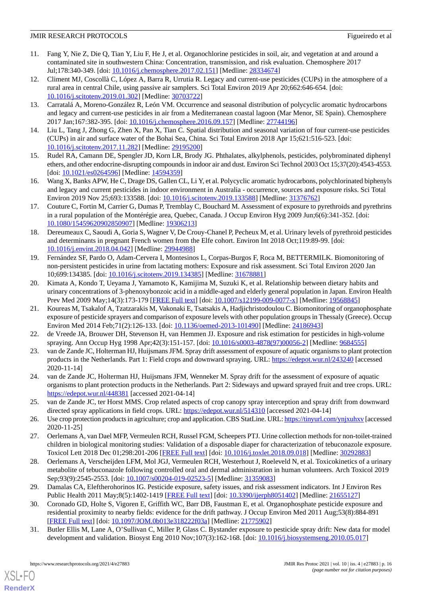- <span id="page-15-0"></span>11. Fang Y, Nie Z, Die Q, Tian Y, Liu F, He J, et al. Organochlorine pesticides in soil, air, and vegetation at and around a contaminated site in southwestern China: Concentration, transmission, and risk evaluation. Chemosphere 2017 Jul;178:340-349. [doi: [10.1016/j.chemosphere.2017.02.151](http://dx.doi.org/10.1016/j.chemosphere.2017.02.151)] [Medline: [28334674](http://www.ncbi.nlm.nih.gov/entrez/query.fcgi?cmd=Retrieve&db=PubMed&list_uids=28334674&dopt=Abstract)]
- <span id="page-15-1"></span>12. Climent MJ, Coscollà C, López A, Barra R, Urrutia R. Legacy and current-use pesticides (CUPs) in the atmosphere of a rural area in central Chile, using passive air samplers. Sci Total Environ 2019 Apr 20;662:646-654. [doi: [10.1016/j.scitotenv.2019.01.302\]](http://dx.doi.org/10.1016/j.scitotenv.2019.01.302) [Medline: [30703722](http://www.ncbi.nlm.nih.gov/entrez/query.fcgi?cmd=Retrieve&db=PubMed&list_uids=30703722&dopt=Abstract)]
- <span id="page-15-2"></span>13. Carratalá A, Moreno-González R, León VM. Occurrence and seasonal distribution of polycyclic aromatic hydrocarbons and legacy and current-use pesticides in air from a Mediterranean coastal lagoon (Mar Menor, SE Spain). Chemosphere 2017 Jan;167:382-395. [doi: [10.1016/j.chemosphere.2016.09.157](http://dx.doi.org/10.1016/j.chemosphere.2016.09.157)] [Medline: [27744196](http://www.ncbi.nlm.nih.gov/entrez/query.fcgi?cmd=Retrieve&db=PubMed&list_uids=27744196&dopt=Abstract)]
- <span id="page-15-4"></span><span id="page-15-3"></span>14. Liu L, Tang J, Zhong G, Zhen X, Pan X, Tian C. Spatial distribution and seasonal variation of four current-use pesticides (CUPs) in air and surface water of the Bohai Sea, China. Sci Total Environ 2018 Apr 15;621:516-523. [doi: [10.1016/j.scitotenv.2017.11.282\]](http://dx.doi.org/10.1016/j.scitotenv.2017.11.282) [Medline: [29195200](http://www.ncbi.nlm.nih.gov/entrez/query.fcgi?cmd=Retrieve&db=PubMed&list_uids=29195200&dopt=Abstract)]
- <span id="page-15-5"></span>15. Rudel RA, Camann DE, Spengler JD, Korn LR, Brody JG. Phthalates, alkylphenols, pesticides, polybrominated diphenyl ethers, and other endocrine-disrupting compounds in indoor air and dust. Environ Sci Technol 2003 Oct 15;37(20):4543-4553. [doi: [10.1021/es0264596](http://dx.doi.org/10.1021/es0264596)] [Medline: [14594359](http://www.ncbi.nlm.nih.gov/entrez/query.fcgi?cmd=Retrieve&db=PubMed&list_uids=14594359&dopt=Abstract)]
- <span id="page-15-6"></span>16. Wang X, Banks APW, He C, Drage DS, Gallen CL, Li Y, et al. Polycyclic aromatic hydrocarbons, polychlorinated biphenyls and legacy and current pesticides in indoor environment in Australia - occurrence, sources and exposure risks. Sci Total Environ 2019 Nov 25;693:133588. [doi: [10.1016/j.scitotenv.2019.133588](http://dx.doi.org/10.1016/j.scitotenv.2019.133588)] [Medline: [31376762](http://www.ncbi.nlm.nih.gov/entrez/query.fcgi?cmd=Retrieve&db=PubMed&list_uids=31376762&dopt=Abstract)]
- 17. Couture C, Fortin M, Carrier G, Dumas P, Tremblay C, Bouchard M. Assessment of exposure to pyrethroids and pyrethrins in a rural population of the Montérégie area, Quebec, Canada. J Occup Environ Hyg 2009 Jun;6(6):341-352. [doi: [10.1080/15459620902850907\]](http://dx.doi.org/10.1080/15459620902850907) [Medline: [19306213\]](http://www.ncbi.nlm.nih.gov/entrez/query.fcgi?cmd=Retrieve&db=PubMed&list_uids=19306213&dopt=Abstract)
- <span id="page-15-7"></span>18. Dereumeaux C, Saoudi A, Goria S, Wagner V, De Crouy-Chanel P, Pecheux M, et al. Urinary levels of pyrethroid pesticides and determinants in pregnant French women from the Elfe cohort. Environ Int 2018 Oct;119:89-99. [doi: [10.1016/j.envint.2018.04.042](http://dx.doi.org/10.1016/j.envint.2018.04.042)] [Medline: [29944988\]](http://www.ncbi.nlm.nih.gov/entrez/query.fcgi?cmd=Retrieve&db=PubMed&list_uids=29944988&dopt=Abstract)
- <span id="page-15-8"></span>19. Fernández SF, Pardo O, Adam-Cervera I, Montesinos L, Corpas-Burgos F, Roca M, BETTERMILK. Biomonitoring of non-persistent pesticides in urine from lactating mothers: Exposure and risk assessment. Sci Total Environ 2020 Jan 10;699:134385. [doi: [10.1016/j.scitotenv.2019.134385](http://dx.doi.org/10.1016/j.scitotenv.2019.134385)] [Medline: [31678881\]](http://www.ncbi.nlm.nih.gov/entrez/query.fcgi?cmd=Retrieve&db=PubMed&list_uids=31678881&dopt=Abstract)
- <span id="page-15-9"></span>20. Kimata A, Kondo T, Ueyama J, Yamamoto K, Kamijima M, Suzuki K, et al. Relationship between dietary habits and urinary concentrations of 3-phenoxybonzoic acid in a middle-aged and elderly general population in Japan. Environ Health Prev Med 2009 May;14(3):173-179 [\[FREE Full text\]](http://europepmc.org/abstract/MED/19568845) [doi: [10.1007/s12199-009-0077-x\]](http://dx.doi.org/10.1007/s12199-009-0077-x) [Medline: [19568845\]](http://www.ncbi.nlm.nih.gov/entrez/query.fcgi?cmd=Retrieve&db=PubMed&list_uids=19568845&dopt=Abstract)
- <span id="page-15-10"></span>21. Koureas M, Tsakalof A, Tzatzarakis M, Vakonaki E, Tsatsakis A, Hadjichristodoulou C. Biomonitoring of organophosphate exposure of pesticide sprayers and comparison of exposure levels with other population groups in Thessaly (Greece). Occup Environ Med 2014 Feb; 71(2): 126-133. [doi: [10.1136/oemed-2013-101490\]](http://dx.doi.org/10.1136/oemed-2013-101490) [Medline: [24186943](http://www.ncbi.nlm.nih.gov/entrez/query.fcgi?cmd=Retrieve&db=PubMed&list_uids=24186943&dopt=Abstract)]
- 22. de Vreede JA, Brouwer DH, Stevenson H, van Hemmen JJ. Exposure and risk estimation for pesticides in high-volume spraying. Ann Occup Hyg 1998 Apr;42(3):151-157. [doi: [10.1016/s0003-4878\(97\)00056-2\]](http://dx.doi.org/10.1016/s0003-4878(97)00056-2) [Medline: [9684555](http://www.ncbi.nlm.nih.gov/entrez/query.fcgi?cmd=Retrieve&db=PubMed&list_uids=9684555&dopt=Abstract)]
- <span id="page-15-11"></span>23. van de Zande JC, Holterman HJ, Huijsmans JFM. Spray drift assessment of exposure of aquatic organisms to plant protection products in the Netherlands. Part 1: Field crops and downward spraying. URL: <https://edepot.wur.nl/243240> [accessed 2020-11-14]
- <span id="page-15-12"></span>24. van de Zande JC, Holterman HJ, Huijsmans JFM, Wenneker M. Spray drift for the assessment of exposure of aquatic organisms to plant protection products in the Netherlands. Part 2: Sideways and upward sprayed fruit and tree crops. URL: <https://edepot.wur.nl/448381> [accessed 2021-04-14]
- <span id="page-15-13"></span>25. van de Zande JC, ter Horst MMS. Crop related aspects of crop canopy spray interception and spray drift from downward directed spray applications in field crops. URL:<https://edepot.wur.nl/514310> [accessed 2021-04-14]
- <span id="page-15-14"></span>26. Use crop protection products in agriculture; crop and application. CBS StatLine. URL:<https://tinyurl.com/ynjxuhxv> [accessed 2020-11-25]
- <span id="page-15-15"></span>27. Oerlemans A, van Dael MFP, Vermeulen RCH, Russel FGM, Scheepers PTJ. Urine collection methods for non-toilet-trained children in biological monitoring studies: Validation of a disposable diaper for characterization of tebuconazole exposure. Toxicol Lett 2018 Dec 01;298:201-206 [[FREE Full text](https://linkinghub.elsevier.com/retrieve/pii/S0378-4274(18)31949-0)] [doi: [10.1016/j.toxlet.2018.09.018](http://dx.doi.org/10.1016/j.toxlet.2018.09.018)] [Medline: [30292883](http://www.ncbi.nlm.nih.gov/entrez/query.fcgi?cmd=Retrieve&db=PubMed&list_uids=30292883&dopt=Abstract)]
- <span id="page-15-16"></span>28. Oerlemans A, Verscheijden LFM, Mol JGJ, Vermeulen RCH, Westerhout J, Roeleveld N, et al. Toxicokinetics of a urinary metabolite of tebuconazole following controlled oral and dermal administration in human volunteers. Arch Toxicol 2019 Sep;93(9):2545-2553. [doi: [10.1007/s00204-019-02523-5\]](http://dx.doi.org/10.1007/s00204-019-02523-5) [Medline: [31359083](http://www.ncbi.nlm.nih.gov/entrez/query.fcgi?cmd=Retrieve&db=PubMed&list_uids=31359083&dopt=Abstract)]
- <span id="page-15-17"></span>29. Damalas CA, Eleftherohorinos IG. Pesticide exposure, safety issues, and risk assessment indicators. Int J Environ Res Public Health 2011 May;8(5):1402-1419 [[FREE Full text](https://www.mdpi.com/resolver?pii=ijerph8051402)] [doi: [10.3390/ijerph8051402](http://dx.doi.org/10.3390/ijerph8051402)] [Medline: [21655127\]](http://www.ncbi.nlm.nih.gov/entrez/query.fcgi?cmd=Retrieve&db=PubMed&list_uids=21655127&dopt=Abstract)
- 30. Coronado GD, Holte S, Vigoren E, Griffith WC, Barr DB, Faustman E, et al. Organophosphate pesticide exposure and residential proximity to nearby fields: evidence for the drift pathway. J Occup Environ Med 2011 Aug;53(8):884-891 [[FREE Full text](http://europepmc.org/abstract/MED/21775902)] [doi: [10.1097/JOM.0b013e318222f03a](http://dx.doi.org/10.1097/JOM.0b013e318222f03a)] [Medline: [21775902](http://www.ncbi.nlm.nih.gov/entrez/query.fcgi?cmd=Retrieve&db=PubMed&list_uids=21775902&dopt=Abstract)]
- 31. Butler Ellis M, Lane A, O'Sullivan C, Miller P, Glass C. Bystander exposure to pesticide spray drift: New data for model development and validation. Biosyst Eng 2010 Nov;107(3):162-168. [doi: [10.1016/j.biosystemseng.2010.05.017](http://dx.doi.org/10.1016/j.biosystemseng.2010.05.017)]